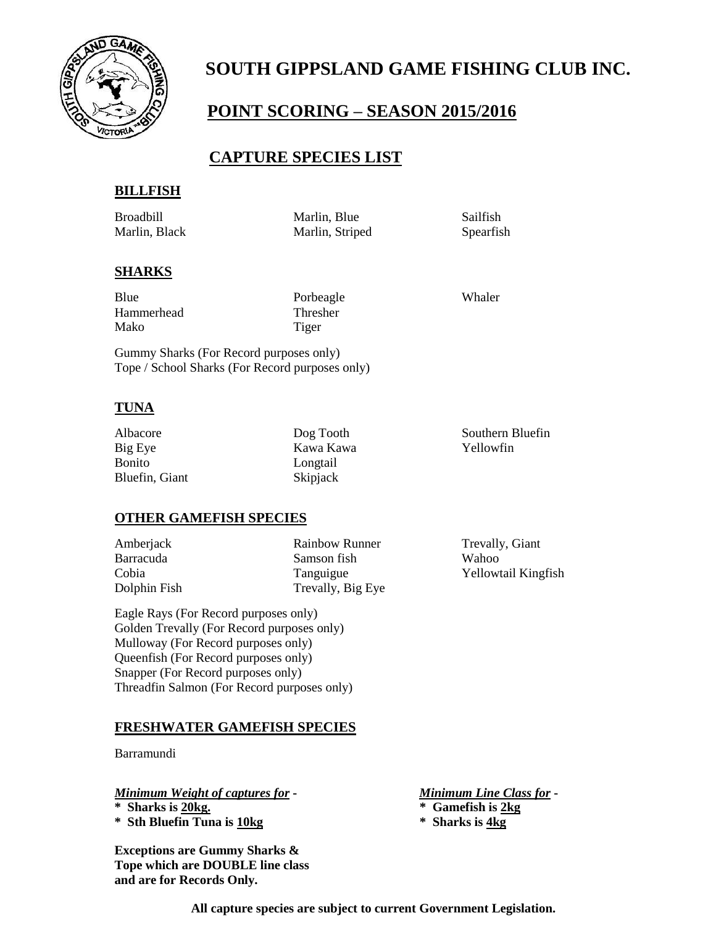

# **SOUTH GIPPSLAND GAME FISHING CLUB INC.**

# **POINT SCORING – SEASON 2015/2016**

## **CAPTURE SPECIES LIST**

#### **BILLFISH**

Broadbill Marlin, Blue Sailfish Marlin, Black Marlin, Striped Spearfish

#### **SHARKS**

| Blue       |  |
|------------|--|
| Hammerhead |  |
| Mako       |  |

Porbeagle Whaler Thresher Tiger

Gummy Sharks (For Record purposes only) Tope / School Sharks (For Record purposes only)

#### **TUNA**

Big Eye Kawa Kawa Kawa Kawa Yellowfin Bonito Longtail Bluefin, Giant Skipjack

Albacore Dog Tooth Southern Bluefin

### **OTHER GAMEFISH SPECIES**

Amberjack Rainbow Runner Trevally, Giant Barracuda Samson fish Wahoo Cobia Tanguigue Yellowtail Kingfish Dolphin Fish Trevally, Big Eye

Eagle Rays (For Record purposes only) Golden Trevally (For Record purposes only) Mulloway (For Record purposes only) Queenfish (For Record purposes only) Snapper (For Record purposes only) Threadfin Salmon (For Record purposes only)

#### **FRESHWATER GAMEFISH SPECIES**

Barramundi

*Minimum Weight of captures for* **-** *Minimum Line Class for* **- \* Sharks is 20kg. \* Gamefish is 2kg \* Sth Bluefin Tuna is 10kg \* Sharks is 4kg**

**Exceptions are Gummy Sharks & Tope which are DOUBLE line class and are for Records Only.**

- 
- 

**All capture species are subject to current Government Legislation.**